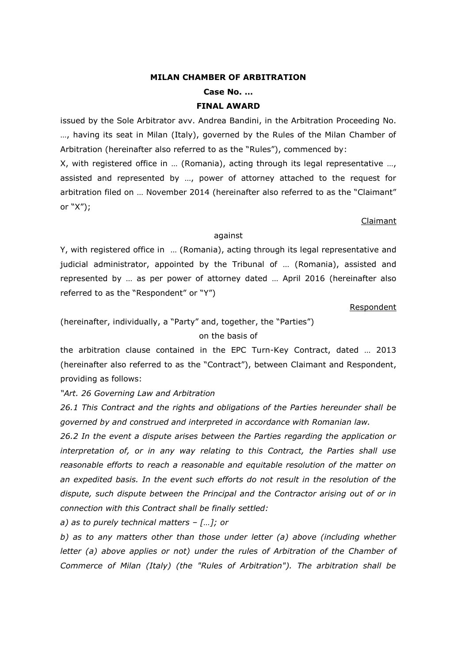#### **MILAN CHAMBER OF ARBITRATION**

**Case No. …**

#### **FINAL AWARD**

issued by the Sole Arbitrator avv. Andrea Bandini, in the Arbitration Proceeding No. …, having its seat in Milan (Italy), governed by the Rules of the Milan Chamber of Arbitration (hereinafter also referred to as the "Rules"), commenced by:

X, with registered office in … (Romania), acting through its legal representative …, assisted and represented by …, power of attorney attached to the request for arbitration filed on … November 2014 (hereinafter also referred to as the "Claimant" or "X");

#### Claimant

#### against

Y, with registered office in … (Romania), acting through its legal representative and judicial administrator, appointed by the Tribunal of … (Romania), assisted and represented by … as per power of attorney dated … April 2016 (hereinafter also referred to as the "Respondent" or "Y")

#### Respondent

(hereinafter, individually, a "Party" and, together, the "Parties") on the basis of

the arbitration clause contained in the EPC Turn-Key Contract, dated … 2013 (hereinafter also referred to as the "Contract"), between Claimant and Respondent, providing as follows:

*"Art. 26 Governing Law and Arbitration* 

*26.1 This Contract and the rights and obligations of the Parties hereunder shall be governed by and construed and interpreted in accordance with Romanian law.* 

*26.2 In the event a dispute arises between the Parties regarding the application or interpretation of, or in any way relating to this Contract, the Parties shall use reasonable efforts to reach a reasonable and equitable resolution of the matter on an expedited basis. In the event such efforts do not result in the resolution of the dispute, such dispute between the Principal and the Contractor arising out of or in connection with this Contract shall be finally settled:*

*a) as to purely technical matters – […]; or* 

*b) as to any matters other than those under letter (a) above (including whether letter (a) above applies or not) under the rules of Arbitration of the Chamber of Commerce of Milan (Italy) (the "Rules of Arbitration"). The arbitration shall be*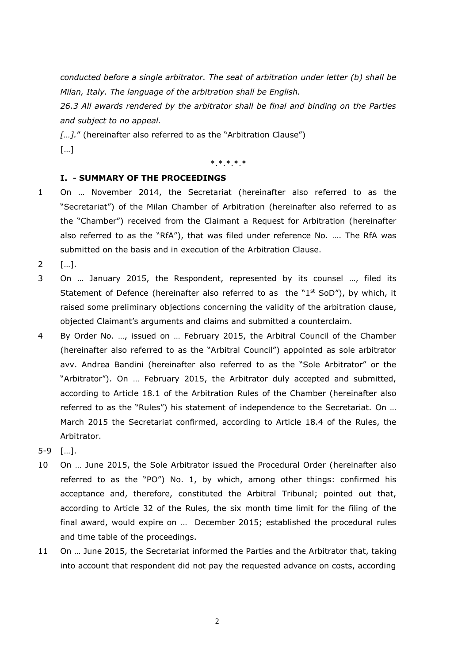*conducted before a single arbitrator. The seat of arbitration under letter (b) shall be Milan, Italy. The language of the arbitration shall be English.* 

*26.3 All awards rendered by the arbitrator shall be final and binding on the Parties and subject to no appeal.* 

*[…].*" (hereinafter also referred to as the "Arbitration Clause") […]

\*.\*.\*.\*.\*

## **I. - SUMMARY OF THE PROCEEDINGS**

- 1 On … November 2014, the Secretariat (hereinafter also referred to as the "Secretariat") of the Milan Chamber of Arbitration (hereinafter also referred to as the "Chamber") received from the Claimant a Request for Arbitration (hereinafter also referred to as the "RfA"), that was filed under reference No. …. The RfA was submitted on the basis and in execution of the Arbitration Clause.
- 2 […].
- 3 On … January 2015, the Respondent, represented by its counsel …, filed its Statement of Defence (hereinafter also referred to as the "1<sup>st</sup> SoD"), by which, it raised some preliminary objections concerning the validity of the arbitration clause, objected Claimant's arguments and claims and submitted a counterclaim.
- 4 By Order No. …, issued on … February 2015, the Arbitral Council of the Chamber (hereinafter also referred to as the "Arbitral Council") appointed as sole arbitrator avv. Andrea Bandini (hereinafter also referred to as the "Sole Arbitrator" or the "Arbitrator"). On … February 2015, the Arbitrator duly accepted and submitted, according to Article 18.1 of the Arbitration Rules of the Chamber (hereinafter also referred to as the "Rules") his statement of independence to the Secretariat. On … March 2015 the Secretariat confirmed, according to Article 18.4 of the Rules, the Arbitrator.
- 5-9 […].
- 10 On … June 2015, the Sole Arbitrator issued the Procedural Order (hereinafter also referred to as the "PO") No. 1, by which, among other things: confirmed his acceptance and, therefore, constituted the Arbitral Tribunal; pointed out that, according to Article 32 of the Rules, the six month time limit for the filing of the final award, would expire on … December 2015; established the procedural rules and time table of the proceedings.
- 11 On … June 2015, the Secretariat informed the Parties and the Arbitrator that, taking into account that respondent did not pay the requested advance on costs, according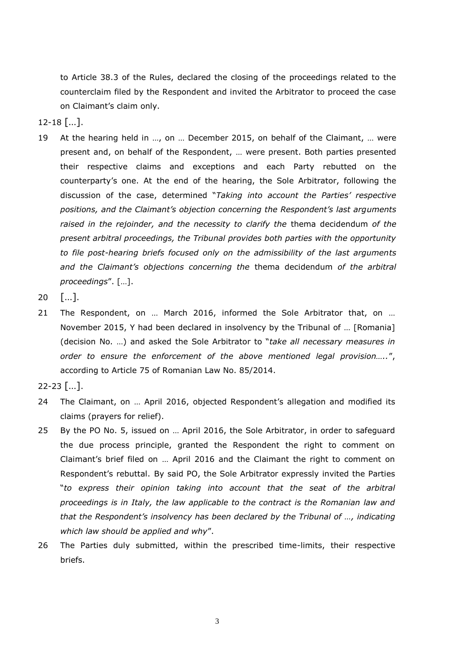to Article 38.3 of the Rules, declared the closing of the proceedings related to the counterclaim filed by the Respondent and invited the Arbitrator to proceed the case on Claimant's claim only.

 $12-18$  [...].

- 19 At the hearing held in …, on … December 2015, on behalf of the Claimant, … were present and, on behalf of the Respondent, … were present. Both parties presented their respective claims and exceptions and each Party rebutted on the counterparty's one. At the end of the hearing, the Sole Arbitrator, following the discussion of the case, determined "*Taking into account the Parties' respective positions, and the Claimant's objection concerning the Respondent's last arguments raised in the rejoinder, and the necessity to clarify the* thema decidendum *of the present arbitral proceedings, the Tribunal provides both parties with the opportunity to file post-hearing briefs focused only on the admissibility of the last arguments and the Claimant's objections concerning the* thema decidendum *of the arbitral proceedings*". […].
- 20 […].
- 21 The Respondent, on ... March 2016, informed the Sole Arbitrator that, on ... November 2015, Y had been declared in insolvency by the Tribunal of … [Romania] (decision No. …) and asked the Sole Arbitrator to "*take all necessary measures in order to ensure the enforcement of the above mentioned legal provision…..*", according to Article 75 of Romanian Law No. 85/2014.
- 22-23 […].
- 24 The Claimant, on … April 2016, objected Respondent's allegation and modified its claims (prayers for relief).
- 25 By the PO No. 5, issued on … April 2016, the Sole Arbitrator, in order to safeguard the due process principle, granted the Respondent the right to comment on Claimant's brief filed on … April 2016 and the Claimant the right to comment on Respondent's rebuttal. By said PO, the Sole Arbitrator expressly invited the Parties "*to express their opinion taking into account that the seat of the arbitral proceedings is in Italy, the law applicable to the contract is the Romanian law and that the Respondent's insolvency has been declared by the Tribunal of …, indicating which law should be applied and why*".
- 26 The Parties duly submitted, within the prescribed time-limits, their respective briefs.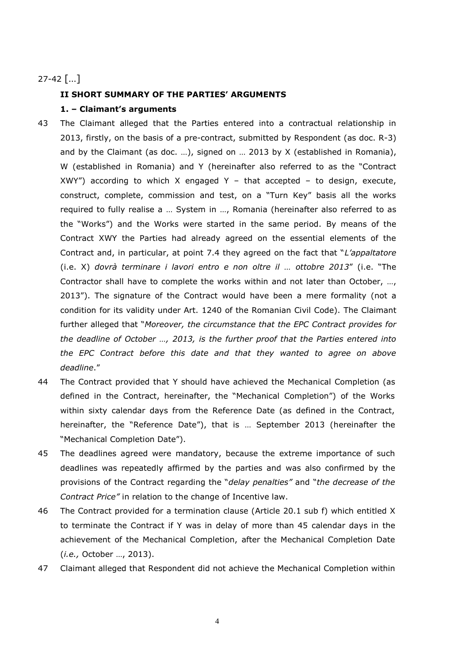## 27-42 […]

## **II SHORT SUMMARY OF THE PARTIES' ARGUMENTS**

## **1. – Claimant's arguments**

- 43 The Claimant alleged that the Parties entered into a contractual relationship in 2013, firstly, on the basis of a pre-contract, submitted by Respondent (as doc. R-3) and by the Claimant (as doc. …), signed on … 2013 by X (established in Romania), W (established in Romania) and Y (hereinafter also referred to as the "Contract XWY") according to which X engaged Y - that accepted - to design, execute, construct, complete, commission and test, on a "Turn Key" basis all the works required to fully realise a … System in …, Romania (hereinafter also referred to as the "Works") and the Works were started in the same period. By means of the Contract XWY the Parties had already agreed on the essential elements of the Contract and, in particular, at point 7.4 they agreed on the fact that "*L'appaltatore*  (i.e. X) *dovrà terminare i lavori entro e non oltre il … ottobre 2013*" (i.e. "The Contractor shall have to complete the works within and not later than October, …, 2013"). The signature of the Contract would have been a mere formality (not a condition for its validity under Art. 1240 of the Romanian Civil Code). The Claimant further alleged that "*Moreover, the circumstance that the EPC Contract provides for the deadline of October …, 2013, is the further proof that the Parties entered into the EPC Contract before this date and that they wanted to agree on above deadline*."
- 44 The Contract provided that Y should have achieved the Mechanical Completion (as defined in the Contract, hereinafter, the "Mechanical Completion") of the Works within sixty calendar days from the Reference Date (as defined in the Contract, hereinafter, the "Reference Date"), that is … September 2013 (hereinafter the "Mechanical Completion Date").
- 45 The deadlines agreed were mandatory, because the extreme importance of such deadlines was repeatedly affirmed by the parties and was also confirmed by the provisions of the Contract regarding the "*delay penalties"* and "*the decrease of the Contract Price"* in relation to the change of Incentive law.
- 46 The Contract provided for a termination clause (Article 20.1 sub f) which entitled X to terminate the Contract if Y was in delay of more than 45 calendar days in the achievement of the Mechanical Completion, after the Mechanical Completion Date (*i.e.,* October …, 2013).
- 47 Claimant alleged that Respondent did not achieve the Mechanical Completion within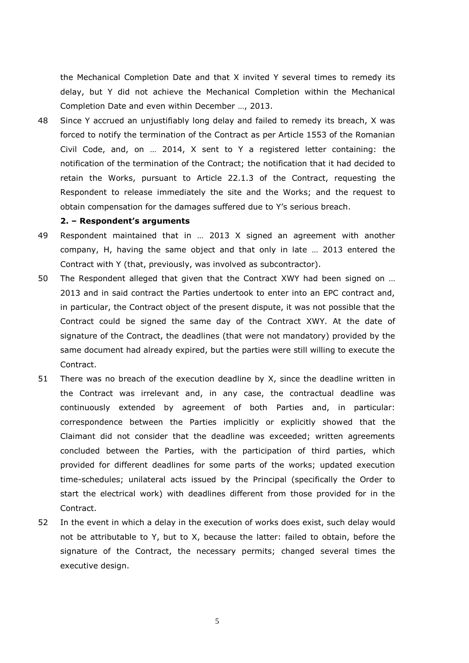the Mechanical Completion Date and that X invited Y several times to remedy its delay, but Y did not achieve the Mechanical Completion within the Mechanical Completion Date and even within December …, 2013.

48 Since Y accrued an unjustifiably long delay and failed to remedy its breach, X was forced to notify the termination of the Contract as per Article 1553 of the Romanian Civil Code, and, on … 2014, X sent to Y a registered letter containing: the notification of the termination of the Contract; the notification that it had decided to retain the Works, pursuant to Article 22.1.3 of the Contract, requesting the Respondent to release immediately the site and the Works; and the request to obtain compensation for the damages suffered due to Y's serious breach.

#### **2. – Respondent's arguments**

- 49 Respondent maintained that in … 2013 X signed an agreement with another company, H, having the same object and that only in late … 2013 entered the Contract with Y (that, previously, was involved as subcontractor).
- 50 The Respondent alleged that given that the Contract XWY had been signed on … 2013 and in said contract the Parties undertook to enter into an EPC contract and, in particular, the Contract object of the present dispute, it was not possible that the Contract could be signed the same day of the Contract XWY. At the date of signature of the Contract, the deadlines (that were not mandatory) provided by the same document had already expired, but the parties were still willing to execute the Contract.
- 51 There was no breach of the execution deadline by X, since the deadline written in the Contract was irrelevant and, in any case, the contractual deadline was continuously extended by agreement of both Parties and, in particular: correspondence between the Parties implicitly or explicitly showed that the Claimant did not consider that the deadline was exceeded; written agreements concluded between the Parties, with the participation of third parties, which provided for different deadlines for some parts of the works; updated execution time-schedules; unilateral acts issued by the Principal (specifically the Order to start the electrical work) with deadlines different from those provided for in the Contract.
- 52 In the event in which a delay in the execution of works does exist, such delay would not be attributable to Y, but to X, because the latter: failed to obtain, before the signature of the Contract, the necessary permits; changed several times the executive design.

5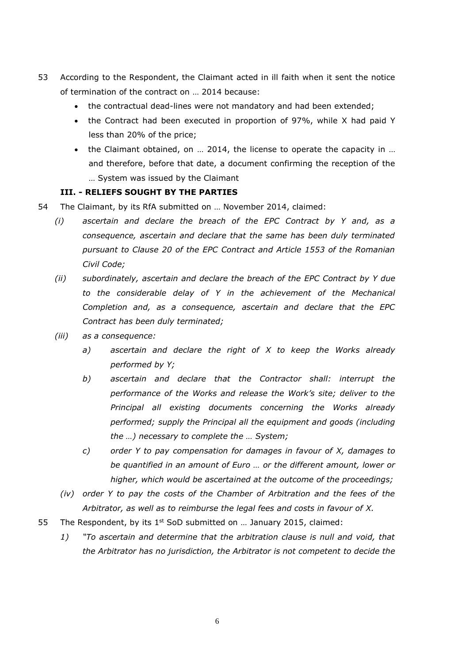- 53 According to the Respondent, the Claimant acted in ill faith when it sent the notice of termination of the contract on … 2014 because:
	- the contractual dead-lines were not mandatory and had been extended;
	- the Contract had been executed in proportion of 97%, while X had paid Y less than 20% of the price;
	- the Claimant obtained, on … 2014, the license to operate the capacity in … and therefore, before that date, a document confirming the reception of the … System was issued by the Claimant

## **III. - RELIEFS SOUGHT BY THE PARTIES**

- 54 The Claimant, by its RfA submitted on … November 2014, claimed:
	- *(i) ascertain and declare the breach of the EPC Contract by Y and, as a consequence, ascertain and declare that the same has been duly terminated pursuant to Clause 20 of the EPC Contract and Article 1553 of the Romanian Civil Code;*
	- *(ii) subordinately, ascertain and declare the breach of the EPC Contract by Y due to the considerable delay of Y in the achievement of the Mechanical Completion and, as a consequence, ascertain and declare that the EPC Contract has been duly terminated;*
	- *(iii) as a consequence:*
		- *a) ascertain and declare the right of X to keep the Works already performed by Y;*
		- *b) ascertain and declare that the Contractor shall: interrupt the performance of the Works and release the Work's site; deliver to the Principal all existing documents concerning the Works already performed; supply the Principal all the equipment and goods (including the …) necessary to complete the … System;*
		- *c) order Y to pay compensation for damages in favour of X, damages to be quantified in an amount of Euro … or the different amount, lower or higher, which would be ascertained at the outcome of the proceedings;*
		- *(iv) order Y to pay the costs of the Chamber of Arbitration and the fees of the Arbitrator, as well as to reimburse the legal fees and costs in favour of X.*
- 55 The Respondent, by its  $1^{st}$  SoD submitted on ... January 2015, claimed:
	- *1) "To ascertain and determine that the arbitration clause is null and void, that the Arbitrator has no jurisdiction, the Arbitrator is not competent to decide the*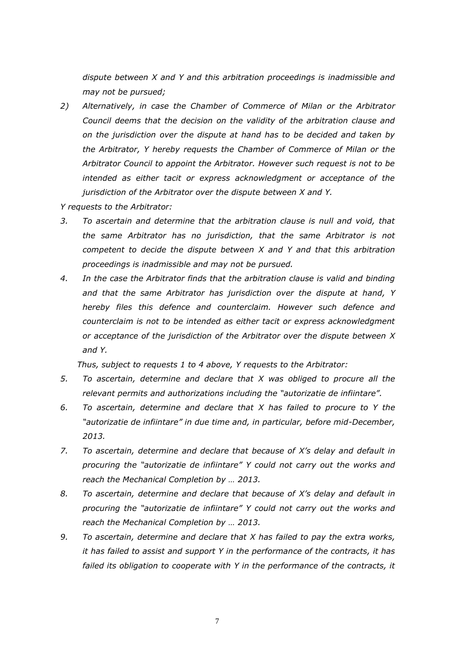*dispute between X and Y and this arbitration proceedings is inadmissible and may not be pursued;*

*2) Alternatively, in case the Chamber of Commerce of Milan or the Arbitrator Council deems that the decision on the validity of the arbitration clause and on the jurisdiction over the dispute at hand has to be decided and taken by the Arbitrator, Y hereby requests the Chamber of Commerce of Milan or the Arbitrator Council to appoint the Arbitrator. However such request is not to be intended as either tacit or express acknowledgment or acceptance of the jurisdiction of the Arbitrator over the dispute between X and Y.*

*Y requests to the Arbitrator:*

- *3. To ascertain and determine that the arbitration clause is null and void, that the same Arbitrator has no jurisdiction, that the same Arbitrator is not competent to decide the dispute between X and Y and that this arbitration proceedings is inadmissible and may not be pursued.*
- *4. In the case the Arbitrator finds that the arbitration clause is valid and binding and that the same Arbitrator has jurisdiction over the dispute at hand, Y hereby files this defence and counterclaim. However such defence and counterclaim is not to be intended as either tacit or express acknowledgment or acceptance of the jurisdiction of the Arbitrator over the dispute between X and Y.*

*Thus, subject to requests 1 to 4 above, Y requests to the Arbitrator:*

- *5. To ascertain, determine and declare that X was obliged to procure all the relevant permits and authorizations including the "autorizatie de infiintare".*
- *6. To ascertain, determine and declare that X has failed to procure to Y the "autorizatie de infiintare" in due time and, in particular, before mid-December, 2013.*
- *7. To ascertain, determine and declare that because of X's delay and default in procuring the "autorizatie de infiintare" Y could not carry out the works and reach the Mechanical Completion by … 2013.*
- *8. To ascertain, determine and declare that because of X's delay and default in procuring the "autorizatie de infiintare" Y could not carry out the works and reach the Mechanical Completion by … 2013.*
- *9. To ascertain, determine and declare that X has failed to pay the extra works, it has failed to assist and support Y in the performance of the contracts, it has failed its obligation to cooperate with Y in the performance of the contracts, it*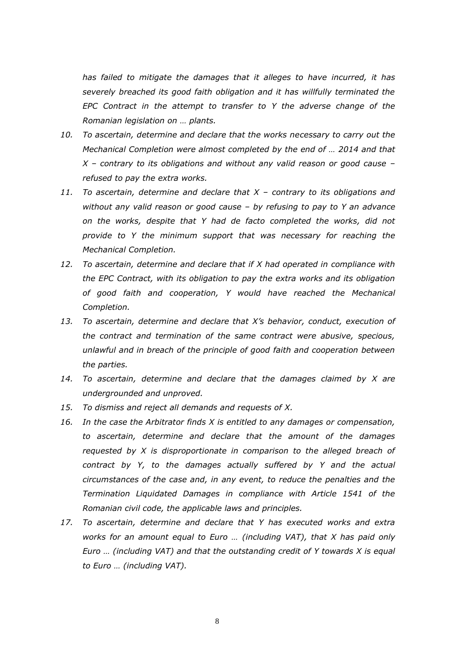*has failed to mitigate the damages that it alleges to have incurred, it has severely breached its good faith obligation and it has willfully terminated the EPC Contract in the attempt to transfer to Y the adverse change of the Romanian legislation on … plants.*

- *10. To ascertain, determine and declare that the works necessary to carry out the Mechanical Completion were almost completed by the end of … 2014 and that X – contrary to its obligations and without any valid reason or good cause – refused to pay the extra works.*
- *11. To ascertain, determine and declare that X – contrary to its obligations and without any valid reason or good cause – by refusing to pay to Y an advance on the works, despite that Y had de facto completed the works, did not provide to Y the minimum support that was necessary for reaching the Mechanical Completion.*
- *12. To ascertain, determine and declare that if X had operated in compliance with the EPC Contract, with its obligation to pay the extra works and its obligation of good faith and cooperation, Y would have reached the Mechanical Completion.*
- *13. To ascertain, determine and declare that X's behavior, conduct, execution of the contract and termination of the same contract were abusive, specious, unlawful and in breach of the principle of good faith and cooperation between the parties.*
- *14. To ascertain, determine and declare that the damages claimed by X are undergrounded and unproved.*
- *15. To dismiss and reject all demands and requests of X.*
- *16. In the case the Arbitrator finds X is entitled to any damages or compensation, to ascertain, determine and declare that the amount of the damages requested by X is disproportionate in comparison to the alleged breach of contract by Y, to the damages actually suffered by Y and the actual circumstances of the case and, in any event, to reduce the penalties and the Termination Liquidated Damages in compliance with Article 1541 of the Romanian civil code, the applicable laws and principles.*
- *17. To ascertain, determine and declare that Y has executed works and extra works for an amount equal to Euro … (including VAT), that X has paid only Euro … (including VAT) and that the outstanding credit of Y towards X is equal to Euro … (including VAT).*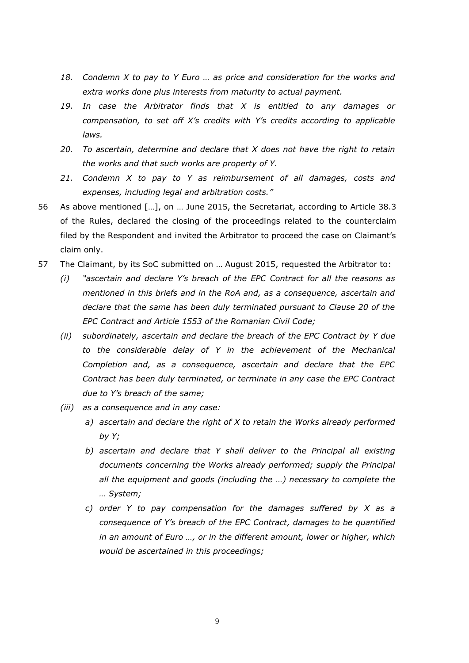- *18. Condemn X to pay to Y Euro … as price and consideration for the works and extra works done plus interests from maturity to actual payment.*
- *19. In case the Arbitrator finds that X is entitled to any damages or compensation, to set off X's credits with Y's credits according to applicable laws.*
- *20. To ascertain, determine and declare that X does not have the right to retain the works and that such works are property of Y.*
- *21. Condemn X to pay to Y as reimbursement of all damages, costs and expenses, including legal and arbitration costs."*
- 56 As above mentioned […], on … June 2015, the Secretariat, according to Article 38.3 of the Rules, declared the closing of the proceedings related to the counterclaim filed by the Respondent and invited the Arbitrator to proceed the case on Claimant's claim only.
- 57 The Claimant, by its SoC submitted on … August 2015, requested the Arbitrator to:
	- *(i) "ascertain and declare Y's breach of the EPC Contract for all the reasons as mentioned in this briefs and in the RoA and, as a consequence, ascertain and declare that the same has been duly terminated pursuant to Clause 20 of the EPC Contract and Article 1553 of the Romanian Civil Code;*
	- *(ii) subordinately, ascertain and declare the breach of the EPC Contract by Y due to the considerable delay of Y in the achievement of the Mechanical Completion and, as a consequence, ascertain and declare that the EPC Contract has been duly terminated, or terminate in any case the EPC Contract due to Y's breach of the same;*
	- *(iii) as a consequence and in any case:*
		- *a) ascertain and declare the right of X to retain the Works already performed by Y;*
		- *b) ascertain and declare that Y shall deliver to the Principal all existing documents concerning the Works already performed; supply the Principal all the equipment and goods (including the …) necessary to complete the … System;*
		- *c) order Y to pay compensation for the damages suffered by X as a consequence of Y's breach of the EPC Contract, damages to be quantified in an amount of Euro …, or in the different amount, lower or higher, which would be ascertained in this proceedings;*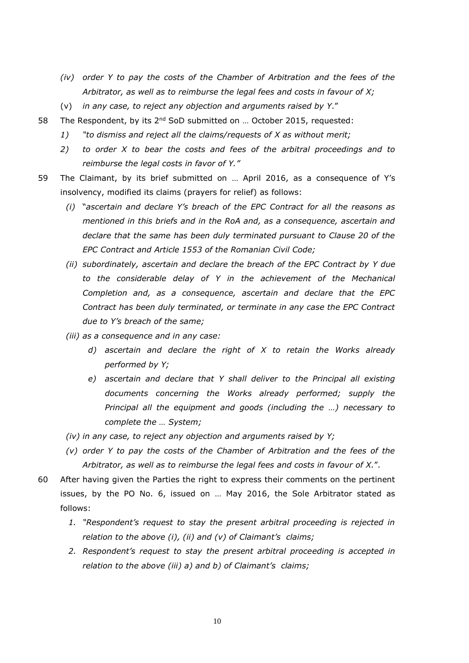- *(iv) order Y to pay the costs of the Chamber of Arbitration and the fees of the Arbitrator, as well as to reimburse the legal fees and costs in favour of X;*
- (v) *in any case, to reject any objection and arguments raised by Y*."
- 58 The Respondent, by its 2<sup>nd</sup> SoD submitted on ... October 2015, requested:
	- *1) "to dismiss and reject all the claims/requests of X as without merit;*
	- *2) to order X to bear the costs and fees of the arbitral proceedings and to reimburse the legal costs in favor of Y."*
- 59 The Claimant, by its brief submitted on … April 2016, as a consequence of Y's insolvency, modified its claims (prayers for relief) as follows:
	- *(i)* "*ascertain and declare Y's breach of the EPC Contract for all the reasons as mentioned in this briefs and in the RoA and, as a consequence, ascertain and declare that the same has been duly terminated pursuant to Clause 20 of the EPC Contract and Article 1553 of the Romanian Civil Code;*
	- *(ii) subordinately, ascertain and declare the breach of the EPC Contract by Y due to the considerable delay of Y in the achievement of the Mechanical Completion and, as a consequence, ascertain and declare that the EPC Contract has been duly terminated, or terminate in any case the EPC Contract due to Y's breach of the same;*
	- *(iii) as a consequence and in any case:*
		- *d) ascertain and declare the right of X to retain the Works already performed by Y;*
		- *e) ascertain and declare that Y shall deliver to the Principal all existing documents concerning the Works already performed; supply the Principal all the equipment and goods (including the …) necessary to complete the … System;*
	- *(iv) in any case, to reject any objection and arguments raised by Y;*
	- *(v) order Y to pay the costs of the Chamber of Arbitration and the fees of the Arbitrator, as well as to reimburse the legal fees and costs in favour of X.*".
- 60 After having given the Parties the right to express their comments on the pertinent issues, by the PO No. 6, issued on … May 2016, the Sole Arbitrator stated as follows:
	- *1. "Respondent's request to stay the present arbitral proceeding is rejected in relation to the above (i), (ii) and (v) of Claimant's claims;*
	- *2. Respondent's request to stay the present arbitral proceeding is accepted in relation to the above (iii) a) and b) of Claimant's claims;*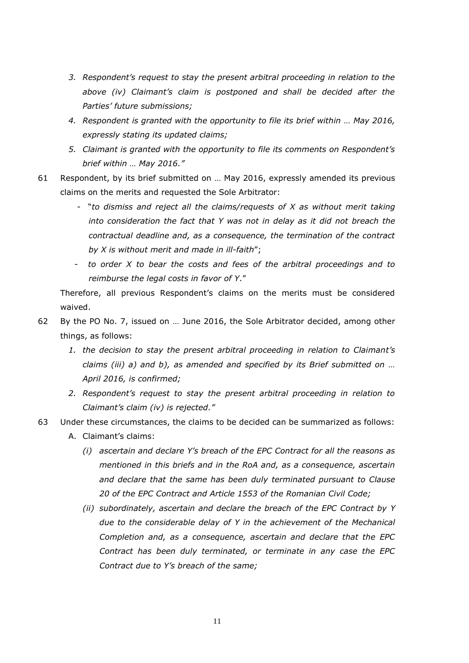- *3. Respondent's request to stay the present arbitral proceeding in relation to the above (iv) Claimant's claim is postponed and shall be decided after the Parties' future submissions;*
- *4. Respondent is granted with the opportunity to file its brief within … May 2016, expressly stating its updated claims;*
- *5. Claimant is granted with the opportunity to file its comments on Respondent's brief within … May 2016."*
- 61 Respondent, by its brief submitted on … May 2016, expressly amended its previous claims on the merits and requested the Sole Arbitrator:
	- "*to dismiss and reject all the claims/requests of X as without merit taking into consideration the fact that Y was not in delay as it did not breach the contractual deadline and, as a consequence, the termination of the contract by X is without merit and made in ill-faith*";
	- *to order X to bear the costs and fees of the arbitral proceedings and to reimburse the legal costs in favor of Y*."

Therefore, all previous Respondent's claims on the merits must be considered waived.

- 62 By the PO No. 7, issued on … June 2016, the Sole Arbitrator decided, among other things, as follows:
	- *1. the decision to stay the present arbitral proceeding in relation to Claimant's claims (iii) a) and b), as amended and specified by its Brief submitted on … April 2016, is confirmed;*
	- *2. Respondent's request to stay the present arbitral proceeding in relation to Claimant's claim (iv) is rejected."*
- 63 Under these circumstances, the claims to be decided can be summarized as follows:
	- A. Claimant's claims:
		- *(i) ascertain and declare Y's breach of the EPC Contract for all the reasons as mentioned in this briefs and in the RoA and, as a consequence, ascertain and declare that the same has been duly terminated pursuant to Clause 20 of the EPC Contract and Article 1553 of the Romanian Civil Code;*
		- *(ii) subordinately, ascertain and declare the breach of the EPC Contract by Y due to the considerable delay of Y in the achievement of the Mechanical Completion and, as a consequence, ascertain and declare that the EPC Contract has been duly terminated, or terminate in any case the EPC Contract due to Y's breach of the same;*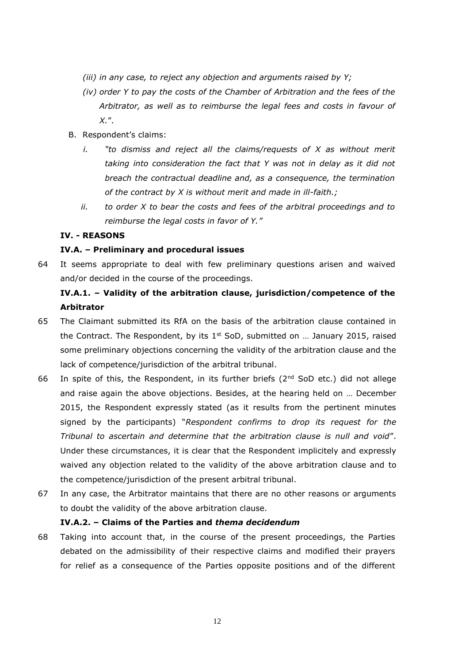- *(iii) in any case, to reject any objection and arguments raised by Y;*
- *(iv) order Y to pay the costs of the Chamber of Arbitration and the fees of the Arbitrator, as well as to reimburse the legal fees and costs in favour of X.*".
- B. Respondent's claims:
	- *i. "to dismiss and reject all the claims/requests of X as without merit taking into consideration the fact that Y was not in delay as it did not breach the contractual deadline and, as a consequence, the termination of the contract by X is without merit and made in ill-faith.;*
	- *ii. to order X to bear the costs and fees of the arbitral proceedings and to reimburse the legal costs in favor of Y."*

### **IV. - REASONS**

### **IV.A. – Preliminary and procedural issues**

64 It seems appropriate to deal with few preliminary questions arisen and waived and/or decided in the course of the proceedings.

# **IV.A.1. – Validity of the arbitration clause, jurisdiction/competence of the Arbitrator**

- 65 The Claimant submitted its RfA on the basis of the arbitration clause contained in the Contract. The Respondent, by its  $1^{st}$  SoD, submitted on ... January 2015, raised some preliminary objections concerning the validity of the arbitration clause and the lack of competence/jurisdiction of the arbitral tribunal.
- 66 In spite of this, the Respondent, in its further briefs ( $2<sup>nd</sup>$  SoD etc.) did not allege and raise again the above objections. Besides, at the hearing held on … December 2015, the Respondent expressly stated (as it results from the pertinent minutes signed by the participants) "*Respondent confirms to drop its request for the Tribunal to ascertain and determine that the arbitration clause is null and void*". Under these circumstances, it is clear that the Respondent implicitely and expressly waived any objection related to the validity of the above arbitration clause and to the competence/jurisdiction of the present arbitral tribunal.
- 67 In any case, the Arbitrator maintains that there are no other reasons or arguments to doubt the validity of the above arbitration clause.

## **IV.A.2. – Claims of the Parties and** *thema decidendum*

68 Taking into account that, in the course of the present proceedings, the Parties debated on the admissibility of their respective claims and modified their prayers for relief as a consequence of the Parties opposite positions and of the different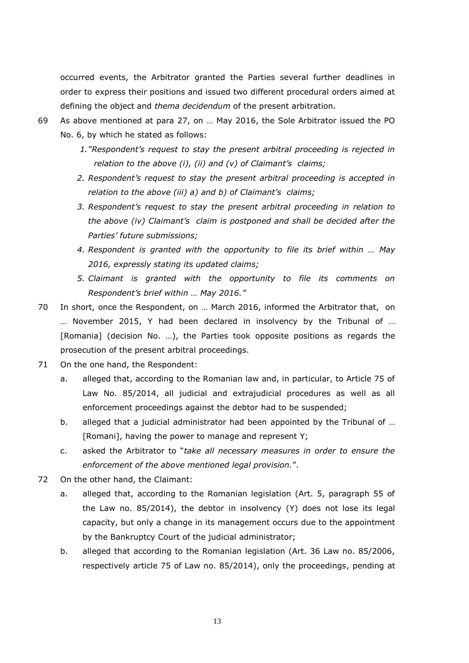occurred events, the Arbitrator granted the Parties several further deadlines in order to express their positions and issued two different procedural orders aimed at defining the object and *thema decidendum* of the present arbitration.

- 69 As above mentioned at para 27, on … May 2016, the Sole Arbitrator issued the PO No. 6, by which he stated as follows:
	- *1."Respondent's request to stay the present arbitral proceeding is rejected in relation to the above (i), (ii) and (v) of Claimant's claims;*
	- *2. Respondent's request to stay the present arbitral proceeding is accepted in relation to the above (iii) a) and b) of Claimant's claims;*
	- *3. Respondent's request to stay the present arbitral proceeding in relation to the above (iv) Claimant's claim is postponed and shall be decided after the Parties' future submissions;*
	- *4. Respondent is granted with the opportunity to file its brief within … May 2016, expressly stating its updated claims;*
	- *5. Claimant is granted with the opportunity to file its comments on Respondent's brief within … May 2016."*
- 70 In short, once the Respondent, on … March 2016, informed the Arbitrator that, on … November 2015, Y had been declared in insolvency by the Tribunal of … [Romania] (decision No. …), the Parties took opposite positions as regards the prosecution of the present arbitral proceedings.
- 71 On the one hand, the Respondent:
	- a. alleged that, according to the Romanian law and, in particular, to Article 75 of Law No. 85/2014, all judicial and extrajudicial procedures as well as all enforcement proceedings against the debtor had to be suspended;
	- b. alleged that a judicial administrator had been appointed by the Tribunal of … [Romani], having the power to manage and represent Y;
	- c. asked the Arbitrator to "*take all necessary measures in order to ensure the enforcement of the above mentioned legal provision.*".
- 72 On the other hand, the Claimant:
	- a. alleged that, according to the Romanian legislation (Art. 5, paragraph 55 of the Law no. 85/2014), the debtor in insolvency (Y) does not lose its legal capacity, but only a change in its management occurs due to the appointment by the Bankruptcy Court of the judicial administrator;
	- b. alleged that according to the Romanian legislation (Art. 36 Law no. 85/2006, respectively article 75 of Law no. 85/2014), only the proceedings, pending at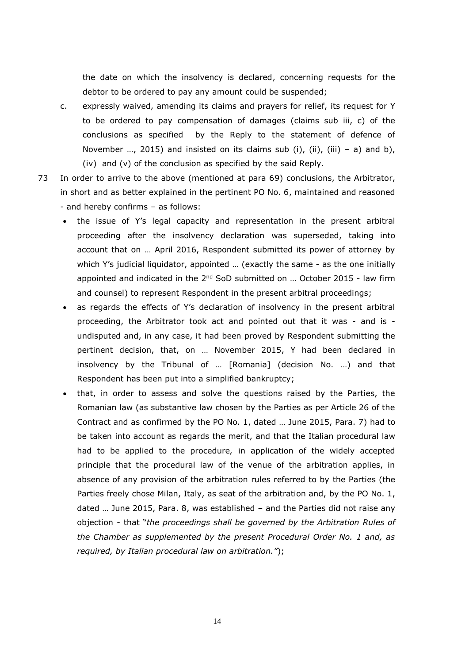the date on which the insolvency is declared, concerning requests for the debtor to be ordered to pay any amount could be suspended;

- c. expressly waived, amending its claims and prayers for relief, its request for Y to be ordered to pay compensation of damages (claims sub iii, c) of the conclusions as specified by the Reply to the statement of defence of November ..., 2015) and insisted on its claims sub (i), (ii), (iii) – a) and b), (iv) and (v) of the conclusion as specified by the said Reply.
- 73 In order to arrive to the above (mentioned at para 69) conclusions, the Arbitrator, in short and as better explained in the pertinent PO No. 6, maintained and reasoned - and hereby confirms – as follows:
	- the issue of Y's legal capacity and representation in the present arbitral proceeding after the insolvency declaration was superseded, taking into account that on … April 2016, Respondent submitted its power of attorney by which Y's judicial liquidator, appointed … (exactly the same - as the one initially appointed and indicated in the  $2<sup>nd</sup>$  SoD submitted on ... October 2015 - law firm and counsel) to represent Respondent in the present arbitral proceedings;
	- as regards the effects of Y's declaration of insolvency in the present arbitral proceeding, the Arbitrator took act and pointed out that it was - and is undisputed and, in any case, it had been proved by Respondent submitting the pertinent decision, that, on … November 2015, Y had been declared in insolvency by the Tribunal of … [Romania] (decision No. …) and that Respondent has been put into a simplified bankruptcy;
	- that, in order to assess and solve the questions raised by the Parties, the Romanian law (as substantive law chosen by the Parties as per Article 26 of the Contract and as confirmed by the PO No. 1, dated … June 2015, Para. 7) had to be taken into account as regards the merit, and that the Italian procedural law had to be applied to the procedure*,* in application of the widely accepted principle that the procedural law of the venue of the arbitration applies, in absence of any provision of the arbitration rules referred to by the Parties (the Parties freely chose Milan, Italy, as seat of the arbitration and, by the PO No. 1, dated … June 2015, Para. 8, was established – and the Parties did not raise any objection - that "*the proceedings shall be governed by the Arbitration Rules of the Chamber as supplemented by the present Procedural Order No. 1 and, as required, by Italian procedural law on arbitration."*);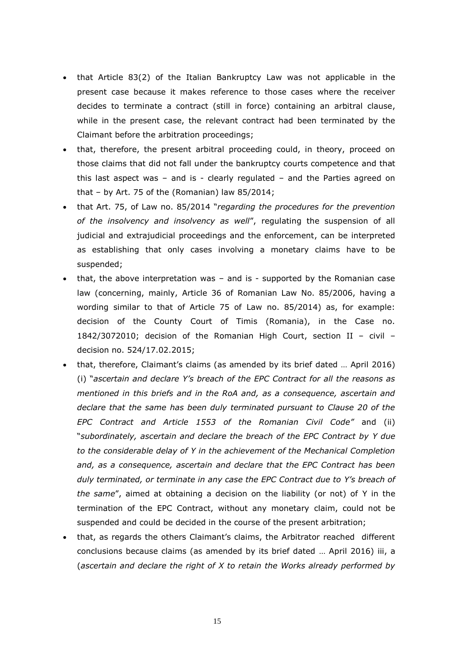- that Article 83(2) of the Italian Bankruptcy Law was not applicable in the present case because it makes reference to those cases where the receiver decides to terminate a contract (still in force) containing an arbitral clause, while in the present case, the relevant contract had been terminated by the Claimant before the arbitration proceedings;
- that, therefore, the present arbitral proceeding could, in theory, proceed on those claims that did not fall under the bankruptcy courts competence and that this last aspect was  $-$  and is  $-$  clearly regulated  $-$  and the Parties agreed on that – by Art. 75 of the (Romanian) law 85/2014;
- that Art. 75, of Law no. 85/2014 "*regarding the procedures for the prevention of the insolvency and insolvency as well*", regulating the suspension of all judicial and extrajudicial proceedings and the enforcement, can be interpreted as establishing that only cases involving a monetary claims have to be suspended;
- that, the above interpretation was and is supported by the Romanian case law (concerning, mainly, Article 36 of Romanian Law No. 85/2006, having a wording similar to that of Article 75 of Law no. 85/2014) as, for example: decision of the County Court of Timis (Romania), in the Case no. 1842/3072010; decision of the Romanian High Court, section II – civil – decision no. 524/17.02.2015;
- that, therefore, Claimant's claims (as amended by its brief dated … April 2016) (i) "*ascertain and declare Y's breach of the EPC Contract for all the reasons as mentioned in this briefs and in the RoA and, as a consequence, ascertain and declare that the same has been duly terminated pursuant to Clause 20 of the EPC Contract and Article 1553 of the Romanian Civil Code"* and (ii) "*subordinately, ascertain and declare the breach of the EPC Contract by Y due to the considerable delay of Y in the achievement of the Mechanical Completion and, as a consequence, ascertain and declare that the EPC Contract has been duly terminated, or terminate in any case the EPC Contract due to Y's breach of the same*", aimed at obtaining a decision on the liability (or not) of Y in the termination of the EPC Contract, without any monetary claim, could not be suspended and could be decided in the course of the present arbitration;
- that, as regards the others Claimant's claims, the Arbitrator reached different conclusions because claims (as amended by its brief dated … April 2016) iii, a (*ascertain and declare the right of X to retain the Works already performed by*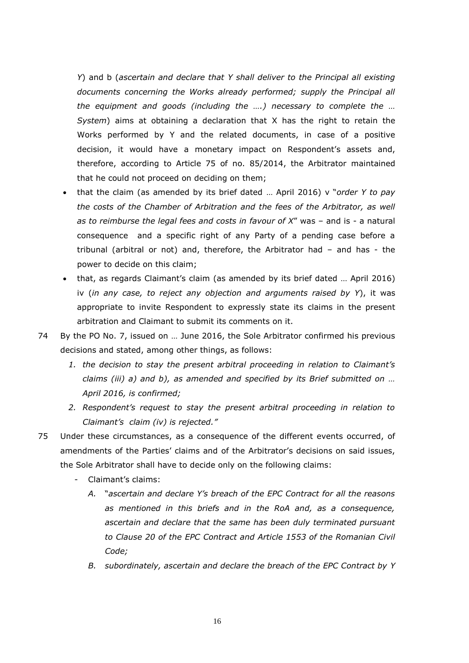*Y*) and b (*ascertain and declare that Y shall deliver to the Principal all existing*  documents concerning the Works already performed; supply the Principal all *the equipment and goods (including the ….) necessary to complete the … System*) aims at obtaining a declaration that X has the right to retain the Works performed by Y and the related documents, in case of a positive decision, it would have a monetary impact on Respondent's assets and, therefore, according to Article 75 of no. 85/2014, the Arbitrator maintained that he could not proceed on deciding on them;

- that the claim (as amended by its brief dated … April 2016) v "*order Y to pay the costs of the Chamber of Arbitration and the fees of the Arbitrator, as well as to reimburse the legal fees and costs in favour of X*" was – and is - a natural consequence and a specific right of any Party of a pending case before a tribunal (arbitral or not) and, therefore, the Arbitrator had – and has - the power to decide on this claim;
- that, as regards Claimant's claim (as amended by its brief dated … April 2016) iv (*in any case, to reject any objection and arguments raised by Y*), it was appropriate to invite Respondent to expressly state its claims in the present arbitration and Claimant to submit its comments on it.
- 74 By the PO No. 7, issued on … June 2016, the Sole Arbitrator confirmed his previous decisions and stated, among other things, as follows:
	- *1. the decision to stay the present arbitral proceeding in relation to Claimant's claims (iii) a) and b), as amended and specified by its Brief submitted on … April 2016, is confirmed;*
	- *2. Respondent's request to stay the present arbitral proceeding in relation to Claimant's claim (iv) is rejected."*
- 75 Under these circumstances, as a consequence of the different events occurred, of amendments of the Parties' claims and of the Arbitrator's decisions on said issues, the Sole Arbitrator shall have to decide only on the following claims:
	- Claimant's claims:
		- *A.* "*ascertain and declare Y's breach of the EPC Contract for all the reasons as mentioned in this briefs and in the RoA and, as a consequence, ascertain and declare that the same has been duly terminated pursuant to Clause 20 of the EPC Contract and Article 1553 of the Romanian Civil Code;*
		- *B. subordinately, ascertain and declare the breach of the EPC Contract by Y*